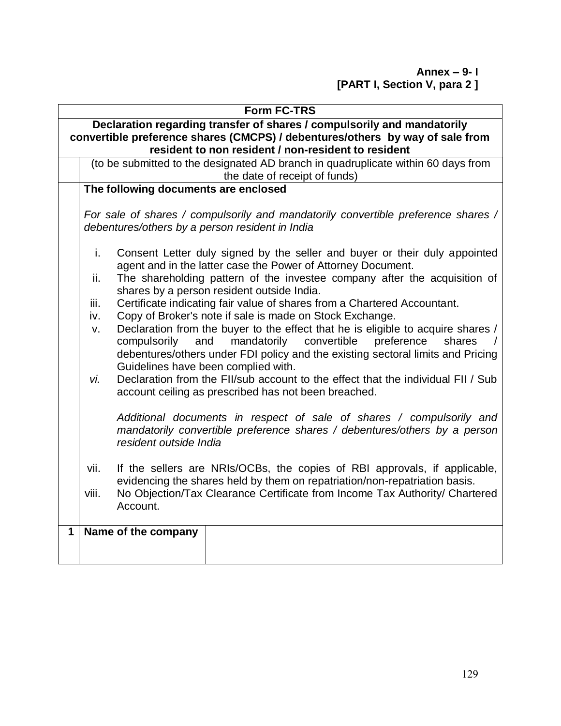**Annex – 9- I [PART I, Section V, para 2 ]**

|              | <b>Form FC-TRS</b>                                                                                                                                              |                                                                                                                                                                                                                                                                                                                                                                                                                                                                                                                                                                                                                                                                                                                                                                                                                                                      |  |  |  |  |
|--------------|-----------------------------------------------------------------------------------------------------------------------------------------------------------------|------------------------------------------------------------------------------------------------------------------------------------------------------------------------------------------------------------------------------------------------------------------------------------------------------------------------------------------------------------------------------------------------------------------------------------------------------------------------------------------------------------------------------------------------------------------------------------------------------------------------------------------------------------------------------------------------------------------------------------------------------------------------------------------------------------------------------------------------------|--|--|--|--|
|              |                                                                                                                                                                 | Declaration regarding transfer of shares / compulsorily and mandatorily<br>convertible preference shares (CMCPS) / debentures/others by way of sale from<br>resident to non resident / non-resident to resident                                                                                                                                                                                                                                                                                                                                                                                                                                                                                                                                                                                                                                      |  |  |  |  |
|              |                                                                                                                                                                 | (to be submitted to the designated AD branch in quadruplicate within 60 days from<br>the date of receipt of funds)                                                                                                                                                                                                                                                                                                                                                                                                                                                                                                                                                                                                                                                                                                                                   |  |  |  |  |
|              | The following documents are enclosed                                                                                                                            |                                                                                                                                                                                                                                                                                                                                                                                                                                                                                                                                                                                                                                                                                                                                                                                                                                                      |  |  |  |  |
|              | For sale of shares / compulsorily and mandatorily convertible preference shares /<br>debentures/others by a person resident in India                            |                                                                                                                                                                                                                                                                                                                                                                                                                                                                                                                                                                                                                                                                                                                                                                                                                                                      |  |  |  |  |
|              | i.<br>ii.<br>iii.<br>iv.<br>v.<br>vi.                                                                                                                           | Consent Letter duly signed by the seller and buyer or their duly appointed<br>agent and in the latter case the Power of Attorney Document.<br>The shareholding pattern of the investee company after the acquisition of<br>shares by a person resident outside India.<br>Certificate indicating fair value of shares from a Chartered Accountant.<br>Copy of Broker's note if sale is made on Stock Exchange.<br>Declaration from the buyer to the effect that he is eligible to acquire shares /<br>compulsorily<br>and<br>mandatorily<br>convertible<br>preference<br>shares<br>debentures/others under FDI policy and the existing sectoral limits and Pricing<br>Guidelines have been complied with.<br>Declaration from the FII/sub account to the effect that the individual FII / Sub<br>account ceiling as prescribed has not been breached. |  |  |  |  |
|              |                                                                                                                                                                 | Additional documents in respect of sale of shares / compulsorily and<br>mandatorily convertible preference shares / debentures/others by a person<br>resident outside India                                                                                                                                                                                                                                                                                                                                                                                                                                                                                                                                                                                                                                                                          |  |  |  |  |
|              | If the sellers are NRIs/OCBs, the copies of RBI approvals, if applicable,<br>vii.<br>evidencing the shares held by them on repatriation/non-repatriation basis. |                                                                                                                                                                                                                                                                                                                                                                                                                                                                                                                                                                                                                                                                                                                                                                                                                                                      |  |  |  |  |
|              | viii.                                                                                                                                                           | No Objection/Tax Clearance Certificate from Income Tax Authority/ Chartered<br>Account.                                                                                                                                                                                                                                                                                                                                                                                                                                                                                                                                                                                                                                                                                                                                                              |  |  |  |  |
| $\mathbf{1}$ |                                                                                                                                                                 | Name of the company                                                                                                                                                                                                                                                                                                                                                                                                                                                                                                                                                                                                                                                                                                                                                                                                                                  |  |  |  |  |
|              |                                                                                                                                                                 |                                                                                                                                                                                                                                                                                                                                                                                                                                                                                                                                                                                                                                                                                                                                                                                                                                                      |  |  |  |  |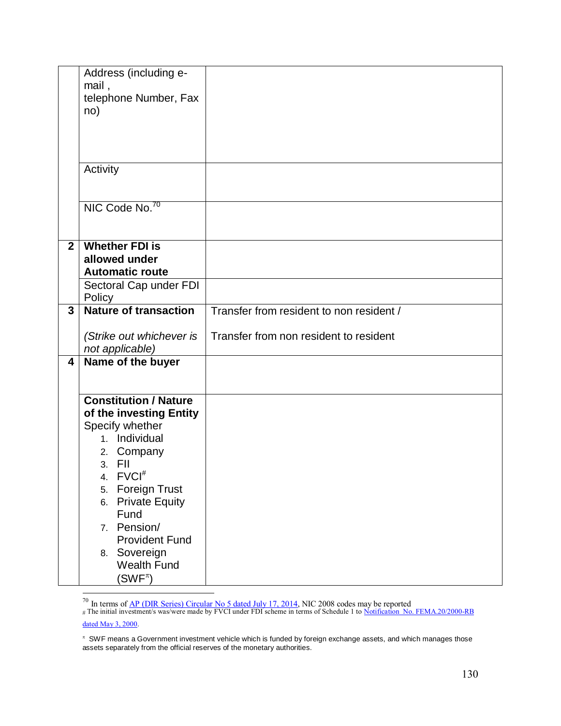|                | Address (including e-<br>mail,      |                                          |
|----------------|-------------------------------------|------------------------------------------|
|                | telephone Number, Fax               |                                          |
|                | no)                                 |                                          |
|                |                                     |                                          |
|                |                                     |                                          |
|                | Activity                            |                                          |
|                |                                     |                                          |
|                | NIC Code No. <sup>70</sup>          |                                          |
|                |                                     |                                          |
| $\overline{2}$ | <b>Whether FDI is</b>               |                                          |
|                | allowed under                       |                                          |
|                | <b>Automatic route</b>              |                                          |
|                | Sectoral Cap under FDI<br>Policy    |                                          |
| 3              | <b>Nature of transaction</b>        | Transfer from resident to non resident / |
|                | (Strike out whichever is            | Transfer from non resident to resident   |
|                | not applicable)                     |                                          |
| 4              | Name of the buyer                   |                                          |
|                |                                     |                                          |
|                | <b>Constitution / Nature</b>        |                                          |
|                | of the investing Entity             |                                          |
|                | Specify whether<br>1. Individual    |                                          |
|                | Company<br>2.                       |                                          |
|                | 3. FII                              |                                          |
|                | $FVCI^*$<br>4.                      |                                          |
|                | <b>Foreign Trust</b><br>5.          |                                          |
|                | <b>Private Equity</b><br>6.<br>Fund |                                          |
|                | Pension/<br>7.                      |                                          |
|                | <b>Provident Fund</b>               |                                          |
|                | 8. Sovereign                        |                                          |
|                | <b>Wealth Fund</b>                  |                                          |
|                | $(\mathsf{SWF}^\pi)$                |                                          |

 $\overline{a}$ 

<sup>&</sup>lt;sup>70</sup> In terms of <u>AP (DIR Series) Circular No 5 dated July 17, 2014</u>, NIC 2008 codes may be reported

<sup>#</sup> The initial investment/s was/were made by FVCI under FDI scheme in terms of Schedule 1 to Notification No. FEMA.20/2000-RB [dated May 3, 2000.](http://rbi.org.in/Scripts/BS_FemaNotifications.aspx?Id=174)

 $\pi$  SWF means a Government investment vehicle which is funded by foreign exchange assets, and which manages those assets separately from the official reserves of the monetary authorities.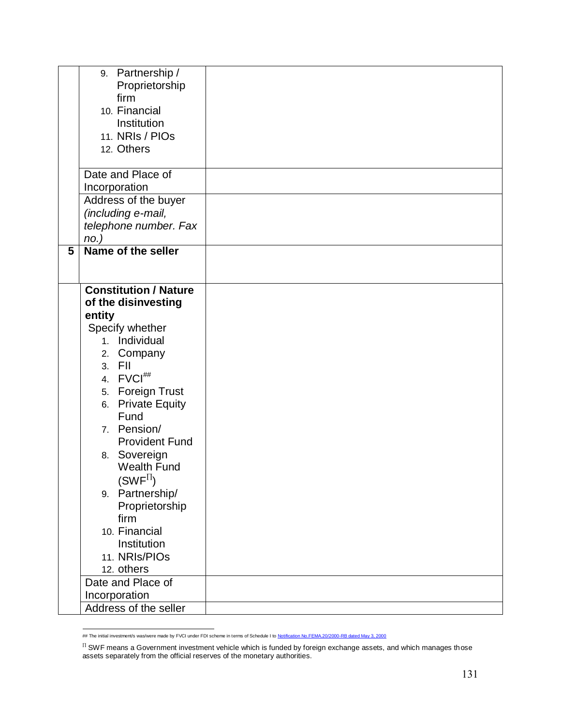|   | 9. Partnership /             |  |
|---|------------------------------|--|
|   |                              |  |
|   | Proprietorship<br>firm       |  |
|   | 10. Financial                |  |
|   |                              |  |
|   | Institution                  |  |
|   | 11. NRIs / PIOs              |  |
|   | 12. Others                   |  |
|   |                              |  |
|   | Date and Place of            |  |
|   | Incorporation                |  |
|   | Address of the buyer         |  |
|   | (including e-mail,           |  |
|   | telephone number. Fax        |  |
|   | $no.$ )                      |  |
| 5 | Name of the seller           |  |
|   |                              |  |
|   |                              |  |
|   | <b>Constitution / Nature</b> |  |
|   | of the disinvesting          |  |
|   | entity                       |  |
|   | Specify whether              |  |
|   | 1. Individual                |  |
|   | 2. Company                   |  |
|   | 3. FII                       |  |
|   | 4. FVCI##                    |  |
|   | 5. Foreign Trust             |  |
|   | 6. Private Equity            |  |
|   | Fund                         |  |
|   | 7. Pension/                  |  |
|   | <b>Provident Fund</b>        |  |
|   | 8. Sovereign                 |  |
|   | <b>Wealth Fund</b>           |  |
|   | $(SWF^{II})$                 |  |
|   | 9. Partnership/              |  |
|   |                              |  |
|   | Proprietorship<br>firm       |  |
|   | 10. Financial                |  |
|   |                              |  |
|   | Institution                  |  |
|   | 11. NRIs/PIOs                |  |
|   | 12. others                   |  |
|   | Date and Place of            |  |
|   | Incorporation                |  |
|   | Address of the seller        |  |

 ## The initial investment/s was/were made by FVCI under FDI scheme in terms of Schedule I t[o Notification No.FEMA.20/2000-RB dated May 3, 2000](http://rbi.org.in/Scripts/BS_FemaNotifications.aspx?Id=174)

 $^{\text{\tiny{\textsf{II}}}}$  SWF means a Government investment vehicle which is funded by foreign exchange assets, and which manages those assets separately from the official reserves of the monetary authorities.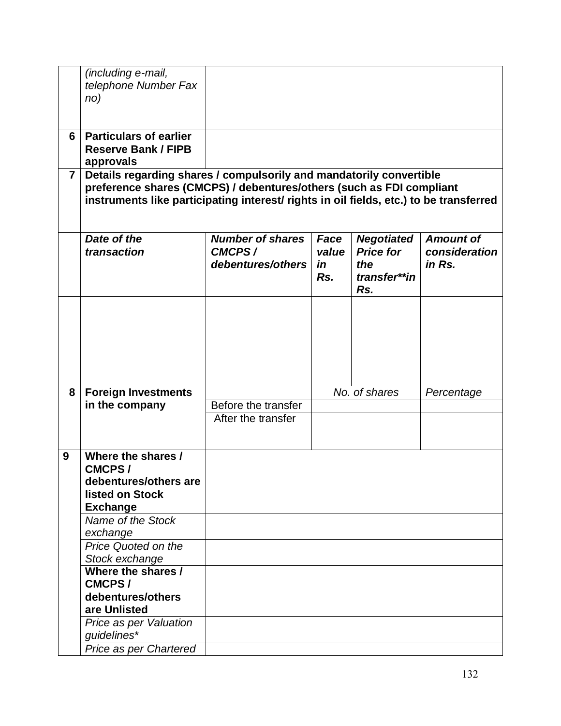|                | (including e-mail,                                                                     |                                                                      |             |                                       |                         |  |  |  |
|----------------|----------------------------------------------------------------------------------------|----------------------------------------------------------------------|-------------|---------------------------------------|-------------------------|--|--|--|
|                | telephone Number Fax                                                                   |                                                                      |             |                                       |                         |  |  |  |
|                | no)                                                                                    |                                                                      |             |                                       |                         |  |  |  |
|                |                                                                                        |                                                                      |             |                                       |                         |  |  |  |
|                |                                                                                        |                                                                      |             |                                       |                         |  |  |  |
| 6              | <b>Particulars of earlier</b>                                                          |                                                                      |             |                                       |                         |  |  |  |
|                | <b>Reserve Bank / FIPB</b>                                                             |                                                                      |             |                                       |                         |  |  |  |
|                | approvals                                                                              |                                                                      |             |                                       |                         |  |  |  |
| $\overline{7}$ | Details regarding shares / compulsorily and mandatorily convertible                    |                                                                      |             |                                       |                         |  |  |  |
|                |                                                                                        | preference shares (CMCPS) / debentures/others (such as FDI compliant |             |                                       |                         |  |  |  |
|                | instruments like participating interest/ rights in oil fields, etc.) to be transferred |                                                                      |             |                                       |                         |  |  |  |
|                |                                                                                        |                                                                      |             |                                       |                         |  |  |  |
|                |                                                                                        |                                                                      |             |                                       |                         |  |  |  |
|                | Date of the                                                                            | <b>Number of shares</b>                                              | Face        | <b>Negotiated</b><br><b>Price for</b> | <b>Amount of</b>        |  |  |  |
|                | transaction                                                                            | CMCPS/<br>debentures/others                                          | value<br>in | the                                   | consideration<br>in Rs. |  |  |  |
|                |                                                                                        |                                                                      | Rs.         | transfer**in                          |                         |  |  |  |
|                |                                                                                        |                                                                      |             | Rs.                                   |                         |  |  |  |
|                |                                                                                        |                                                                      |             |                                       |                         |  |  |  |
|                |                                                                                        |                                                                      |             |                                       |                         |  |  |  |
|                |                                                                                        |                                                                      |             |                                       |                         |  |  |  |
|                |                                                                                        |                                                                      |             |                                       |                         |  |  |  |
|                |                                                                                        |                                                                      |             |                                       |                         |  |  |  |
|                |                                                                                        |                                                                      |             |                                       |                         |  |  |  |
|                |                                                                                        |                                                                      |             |                                       |                         |  |  |  |
| 8              | <b>Foreign Investments</b>                                                             |                                                                      |             | No. of shares                         | Percentage              |  |  |  |
|                | in the company                                                                         | Before the transfer                                                  |             |                                       |                         |  |  |  |
|                |                                                                                        | After the transfer                                                   |             |                                       |                         |  |  |  |
|                |                                                                                        |                                                                      |             |                                       |                         |  |  |  |
|                |                                                                                        |                                                                      |             |                                       |                         |  |  |  |
| 9              | Where the shares /                                                                     |                                                                      |             |                                       |                         |  |  |  |
|                | <b>CMCPS/</b>                                                                          |                                                                      |             |                                       |                         |  |  |  |
|                | debentures/others are                                                                  |                                                                      |             |                                       |                         |  |  |  |
|                | listed on Stock                                                                        |                                                                      |             |                                       |                         |  |  |  |
|                | <b>Exchange</b>                                                                        |                                                                      |             |                                       |                         |  |  |  |
|                | Name of the Stock                                                                      |                                                                      |             |                                       |                         |  |  |  |
|                | exchange                                                                               |                                                                      |             |                                       |                         |  |  |  |
|                | <b>Price Quoted on the</b>                                                             |                                                                      |             |                                       |                         |  |  |  |
|                | Stock exchange                                                                         |                                                                      |             |                                       |                         |  |  |  |
|                | Where the shares /                                                                     |                                                                      |             |                                       |                         |  |  |  |
|                | <b>CMCPS/</b>                                                                          |                                                                      |             |                                       |                         |  |  |  |
|                | debentures/others                                                                      |                                                                      |             |                                       |                         |  |  |  |
|                | are Unlisted                                                                           |                                                                      |             |                                       |                         |  |  |  |
|                | Price as per Valuation                                                                 |                                                                      |             |                                       |                         |  |  |  |
|                | guidelines*                                                                            |                                                                      |             |                                       |                         |  |  |  |
|                | Price as per Chartered                                                                 |                                                                      |             |                                       |                         |  |  |  |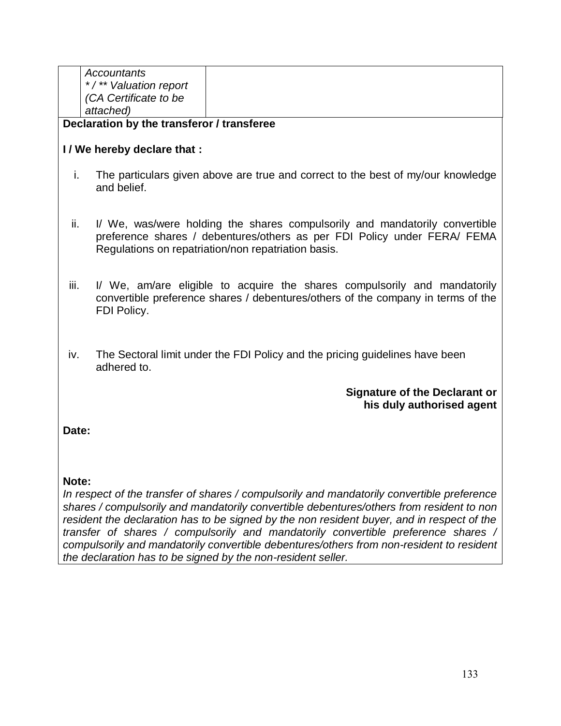| Accountants<br>*/** Valuation report<br>(CA Certificate to be<br>attached) |  |  |  |  |
|----------------------------------------------------------------------------|--|--|--|--|
|----------------------------------------------------------------------------|--|--|--|--|

### **Declaration by the transferor / transferee**

## **I / We hereby declare that :**

- i. The particulars given above are true and correct to the best of my/our knowledge and belief.
- ii. I/ We, was/were holding the shares compulsorily and mandatorily convertible preference shares / debentures/others as per FDI Policy under FERA/ FEMA Regulations on repatriation/non repatriation basis.
- iii. I/ We, am/are eligible to acquire the shares compulsorily and mandatorily convertible preference shares / debentures/others of the company in terms of the FDI Policy.
- iv. The Sectoral limit under the FDI Policy and the pricing guidelines have been adhered to.

### **Signature of the Declarant or his duly authorised agent**

**Date:** 

### **Note:**

*In respect of the transfer of shares / compulsorily and mandatorily convertible preference shares / compulsorily and mandatorily convertible debentures/others from resident to non resident the declaration has to be signed by the non resident buyer, and in respect of the transfer of shares / compulsorily and mandatorily convertible preference shares / compulsorily and mandatorily convertible debentures/others from non-resident to resident the declaration has to be signed by the non-resident seller.*